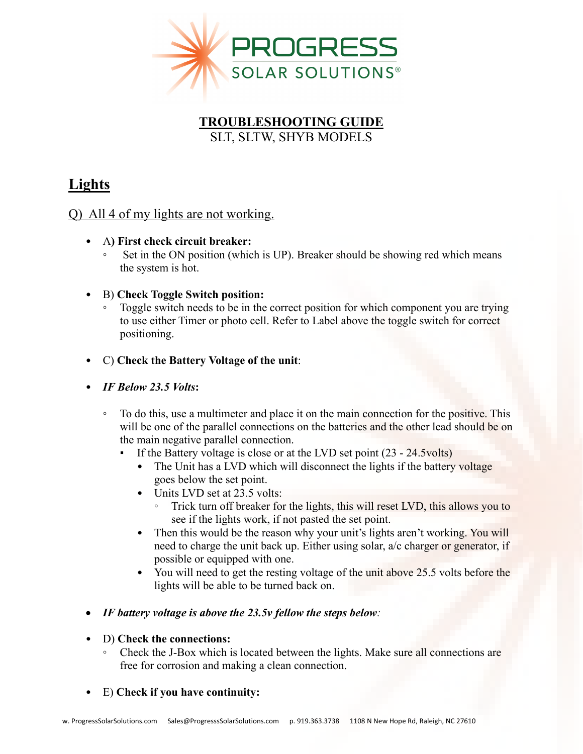

#### **TROUBLESHOOTING GUIDE** SLT, SLTW, SHYB MODELS

### **Lights**

#### Q) All 4 of my lights are not working.

- A**) First check circuit breaker:**
	- Set in the ON position (which is UP). Breaker should be showing red which means the system is hot.
- B) **Check Toggle Switch position:**
	- Toggle switch needs to be in the correct position for which component you are trying to use either Timer or photo cell. Refer to Label above the toggle switch for correct positioning.
- C) **Check the Battery Voltage of the unit**:
- *IF Below 23.5 Volts***:**
	- To do this, use a multimeter and place it on the main connection for the positive. This will be one of the parallel connections on the batteries and the other lead should be on the main negative parallel connection.
		- **•** If the Battery voltage is close or at the LVD set point  $(23 24.5 \text{volts})$ 
			- The Unit has a LVD which will disconnect the lights if the battery voltage goes below the set point.
			- Units LVD set at 23.5 volts:
				- Trick turn off breaker for the lights, this will reset LVD, this allows you to see if the lights work, if not pasted the set point.
			- Then this would be the reason why your unit's lights aren't working. You will need to charge the unit back up. Either using solar, a/c charger or generator, if possible or equipped with one.
			- You will need to get the resting voltage of the unit above 25.5 volts before the lights will be able to be turned back on.
- *IF battery voltage is above the 23.5v fellow the steps below:*

#### • D) **Check the connections:**

Check the J-Box which is located between the lights. Make sure all connections are free for corrosion and making a clean connection.

#### • E) **Check if you have continuity:**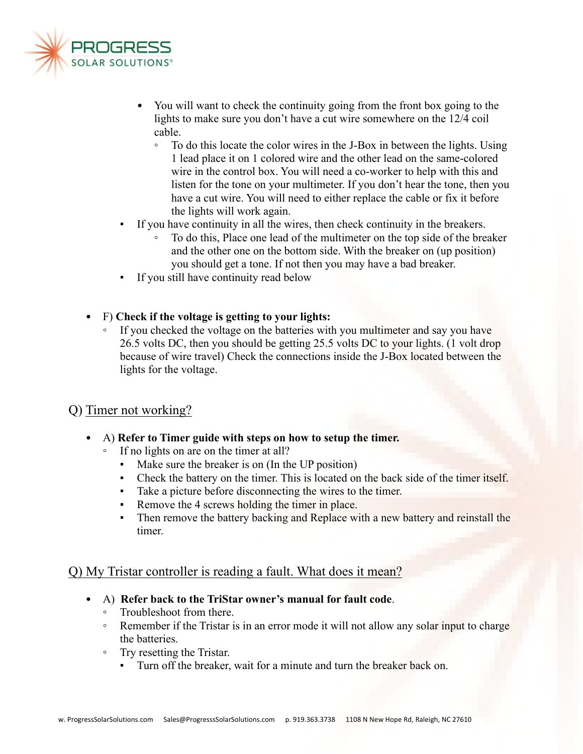

- You will want to check the continuity going from the front box going to the lights to make sure you don't have a cut wire somewhere on the 12/4 coil cable.
	- To do this locate the color wires in the J-Box in between the lights. Using 1 lead place it on 1 colored wire and the other lead on the same-colored wire in the control box. You will need a co-worker to help with this and listen for the tone on your multimeter. If you don't hear the tone, then you have a cut wire. You will need to either replace the cable or fix it before the lights will work again.
- If you have continuity in all the wires, then check continuity in the breakers.
	- To do this, Place one lead of the multimeter on the top side of the breaker and the other one on the bottom side. With the breaker on (up position) you should get a tone. If not then you may have a bad breaker.
- If you still have continuity read below
- F) **Check if the voltage is getting to your lights:**
	- If you checked the voltage on the batteries with you multimeter and say you have 26.5 volts DC, then you should be getting 25.5 volts DC to your lights. (1 volt drop because of wire travel) Check the connections inside the J-Box located between the lights for the voltage.

#### Q) Timer not working?

- A) **Refer to Timer guide with steps on how to setup the timer.**
	- If no lights on are on the timer at all?
		- Make sure the breaker is on (In the UP position)
		- Check the battery on the timer. This is located on the back side of the timer itself.
		- Take a picture before disconnecting the wires to the timer.
		- Remove the 4 screws holding the timer in place.
		- **•** Then remove the battery backing and Replace with a new battery and reinstall the timer.

#### Q) My Tristar controller is reading a fault. What does it mean?

- A) **Refer back to the TriStar owner's manual for fault code**.
	- Troubleshoot from there.
	- Remember if the Tristar is in an error mode it will not allow any solar input to charge the batteries.
	- Try resetting the Tristar.
		- **•** Turn off the breaker, wait for a minute and turn the breaker back on.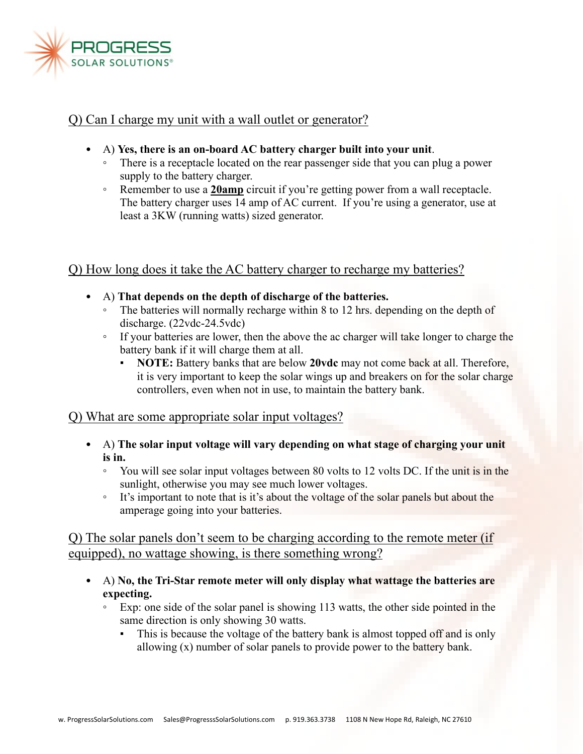

#### Q) Can I charge my unit with a wall outlet or generator?

- A) **Yes, there is an on-board AC battery charger built into your unit**.
	- There is a receptacle located on the rear passenger side that you can plug a power supply to the battery charger.
	- Remember to use a **20amp** circuit if you're getting power from a wall receptacle. The battery charger uses 14 amp of AC current. If you're using a generator, use at least a 3KW (running watts) sized generator.

#### Q) How long does it take the AC battery charger to recharge my batteries?

- A) **That depends on the depth of discharge of the batteries.**
	- The batteries will normally recharge within 8 to 12 hrs. depending on the depth of discharge. (22vdc-24.5vdc)
	- If your batteries are lower, then the above the ac charger will take longer to charge the battery bank if it will charge them at all.
		- **NOTE:** Battery banks that are below **20vdc** may not come back at all. Therefore, it is very important to keep the solar wings up and breakers on for the solar charge controllers, even when not in use, to maintain the battery bank.

#### Q) What are some appropriate solar input voltages?

- A) **The solar input voltage will vary depending on what stage of charging your unit is in.**
	- You will see solar input voltages between 80 volts to 12 volts DC. If the unit is in the sunlight, otherwise you may see much lower voltages.
	- It's important to note that is it's about the voltage of the solar panels but about the amperage going into your batteries.

#### Q) The solar panels don't seem to be charging according to the remote meter (if equipped), no wattage showing, is there something wrong?

- A) **No, the Tri-Star remote meter will only display what wattage the batteries are expecting.** 
	- Exp: one side of the solar panel is showing 113 watts, the other side pointed in the same direction is only showing 30 watts.
		- **•** This is because the voltage of the battery bank is almost topped off and is only allowing (x) number of solar panels to provide power to the battery bank.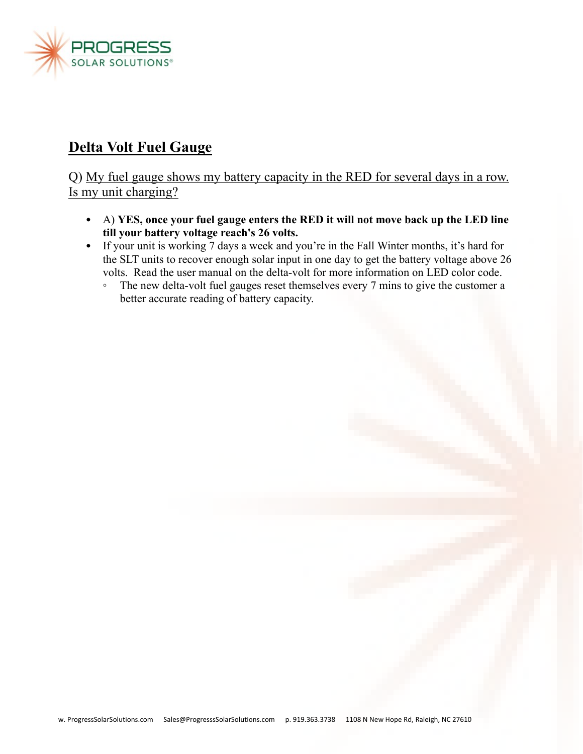

## **Delta Volt Fuel Gauge**

Q) My fuel gauge shows my battery capacity in the RED for several days in a row. Is my unit charging?

- A) **YES, once your fuel gauge enters the RED it will not move back up the LED line till your battery voltage reach's 26 volts.**
- If your unit is working 7 days a week and you're in the Fall Winter months, it's hard for the SLT units to recover enough solar input in one day to get the battery voltage above 26 volts. Read the user manual on the delta-volt for more information on LED color code.
	- The new delta-volt fuel gauges reset themselves every 7 mins to give the customer a better accurate reading of battery capacity.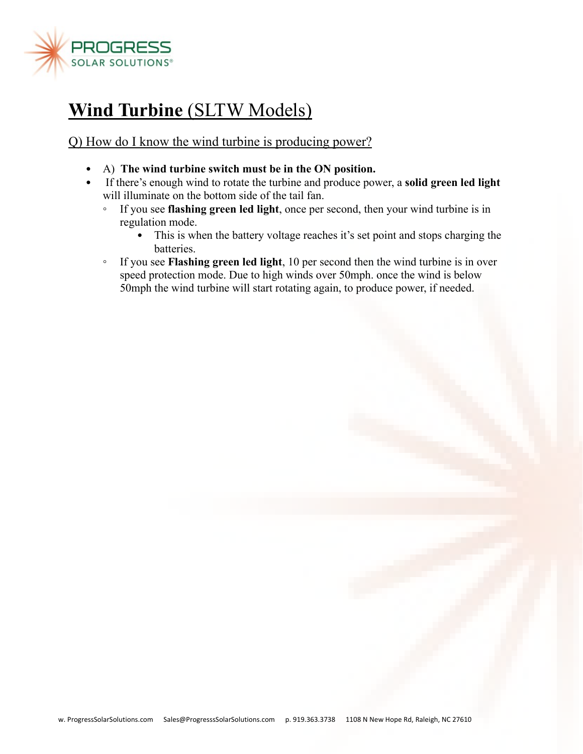

## **Wind Turbine** (SLTW Models)

Q) How do I know the wind turbine is producing power?

- A) **The wind turbine switch must be in the ON position.**
- If there's enough wind to rotate the turbine and produce power, a **solid green led light** will illuminate on the bottom side of the tail fan.
	- If you see **flashing green led light**, once per second, then your wind turbine is in regulation mode.
		- This is when the battery voltage reaches it's set point and stops charging the batteries.
	- If you see **Flashing green led light**, 10 per second then the wind turbine is in over speed protection mode. Due to high winds over 50mph. once the wind is below 50mph the wind turbine will start rotating again, to produce power, if needed.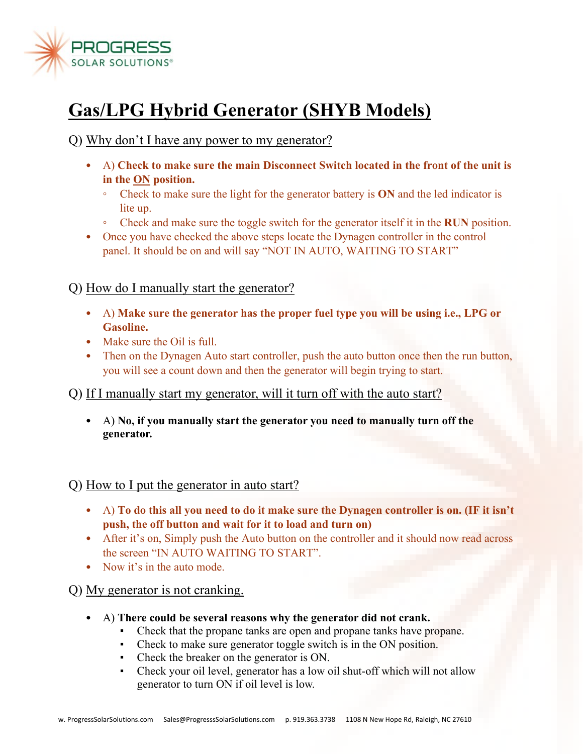

# **Gas/LPG Hybrid Generator (SHYB Models)**

Q) Why don't I have any power to my generator?

- A) **Check to make sure the main Disconnect Switch located in the front of the unit is in the ON position.**
	- Check to make sure the light for the generator battery is **ON** and the led indicator is lite up.
	- Check and make sure the toggle switch for the generator itself it in the **RUN** position.
- Once you have checked the above steps locate the Dynagen controller in the control panel. It should be on and will say "NOT IN AUTO, WAITING TO START"

Q) How do I manually start the generator?

- A) **Make sure the generator has the proper fuel type you will be using i.e., LPG or Gasoline.**
- Make sure the Oil is full.
- Then on the Dynagen Auto start controller, push the auto button once then the run button, you will see a count down and then the generator will begin trying to start.
- Q) If I manually start my generator, will it turn off with the auto start?
	- A) **No, if you manually start the generator you need to manually turn off the generator.**

Q) How to I put the generator in auto start?

- A) **To do this all you need to do it make sure the Dynagen controller is on. (IF it isn't push, the off button and wait for it to load and turn on)**
- After it's on, Simply push the Auto button on the controller and it should now read across the screen "IN AUTO WAITING TO START".
- Now it's in the auto mode.

Q) My generator is not cranking.

- A) **There could be several reasons why the generator did not crank.**
	- Check that the propane tanks are open and propane tanks have propane.
	- Check to make sure generator toggle switch is in the ON position.
	- Check the breaker on the generator is ON.
	- Check your oil level, generator has a low oil shut-off which will not allow generator to turn ON if oil level is low.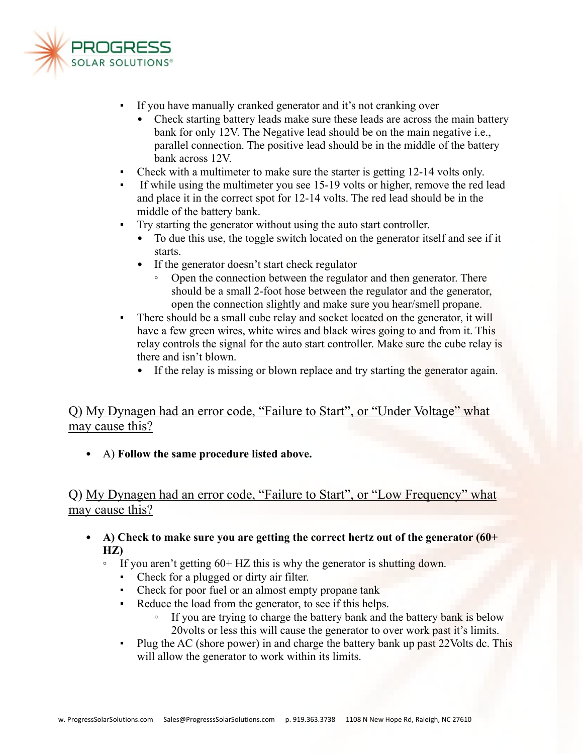

- If you have manually cranked generator and it's not cranking over
	- Check starting battery leads make sure these leads are across the main battery bank for only 12V. The Negative lead should be on the main negative i.e., parallel connection. The positive lead should be in the middle of the battery bank across 12V.
- Check with a multimeter to make sure the starter is getting 12-14 volts only.
- If while using the multimeter you see 15-19 volts or higher, remove the red lead and place it in the correct spot for 12-14 volts. The red lead should be in the middle of the battery bank.
- Try starting the generator without using the auto start controller.
	- To due this use, the toggle switch located on the generator itself and see if it starts.
	- If the generator doesn't start check regulator
		- Open the connection between the regulator and then generator. There should be a small 2-foot hose between the regulator and the generator, open the connection slightly and make sure you hear/smell propane.
- There should be a small cube relay and socket located on the generator, it will have a few green wires, white wires and black wires going to and from it. This relay controls the signal for the auto start controller. Make sure the cube relay is there and isn't blown.
	- If the relay is missing or blown replace and try starting the generator again.

#### Q) My Dynagen had an error code, "Failure to Start", or "Under Voltage" what may cause this?

• A) **Follow the same procedure listed above.**

#### Q) My Dynagen had an error code, "Failure to Start", or "Low Frequency" what may cause this?

- **A) Check to make sure you are getting the correct hertz out of the generator (60+ HZ)**
	- If you aren't getting 60+ HZ this is why the generator is shutting down.
		- Check for a plugged or dirty air filter.
		- Check for poor fuel or an almost empty propane tank
		- Reduce the load from the generator, to see if this helps.
			- If you are trying to charge the battery bank and the battery bank is below 20volts or less this will cause the generator to over work past it's limits.
		- Plug the AC (shore power) in and charge the battery bank up past 22Volts dc. This will allow the generator to work within its limits.